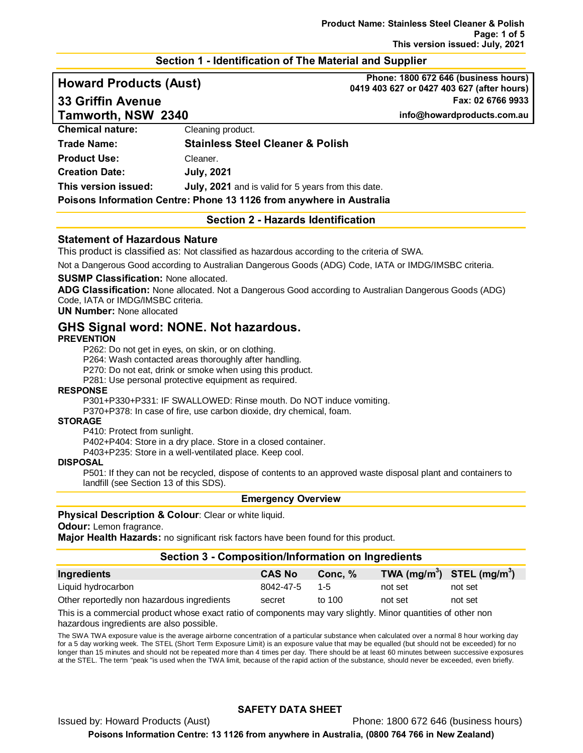## **Section 1 - Identification of The Material and Supplier**

**Tamworth, NSW 2340 info@howardproducts.com.au**

**Howard Products (Aust) Phone: 1800 672 646 (business hours) 0419 403 627 or 0427 403 627 (after hours) 33 Griffin Avenue Fax: 02 6766 9933**

|                         |                                                     | . |
|-------------------------|-----------------------------------------------------|---|
| <b>Chemical nature:</b> | Cleaning product.                                   |   |
| Trade Name:             | <b>Stainless Steel Cleaner &amp; Polish</b>         |   |
| <b>Product Use:</b>     | Cleaner.                                            |   |
| <b>Creation Date:</b>   | <b>July, 2021</b>                                   |   |
| This version issued:    | July, 2021 and is valid for 5 years from this date. |   |
|                         |                                                     |   |

**Poisons Information Centre: Phone 13 1126 from anywhere in Australia**

# **Section 2 - Hazards Identification**

#### **Statement of Hazardous Nature**

This product is classified as: Not classified as hazardous according to the criteria of SWA.

Not a Dangerous Good according to Australian Dangerous Goods (ADG) Code, IATA or IMDG/IMSBC criteria.

#### **SUSMP Classification:** None allocated.

**ADG Classification:** None allocated. Not a Dangerous Good according to Australian Dangerous Goods (ADG) Code, IATA or IMDG/IMSBC criteria.

#### **UN Number:** None allocated

# **GHS Signal word: NONE. Not hazardous.**

**PREVENTION**

P262: Do not get in eyes, on skin, or on clothing.

P264: Wash contacted areas thoroughly after handling.

P270: Do not eat, drink or smoke when using this product.

P281: Use personal protective equipment as required.

#### **RESPONSE**

P301+P330+P331: IF SWALLOWED: Rinse mouth. Do NOT induce vomiting.

P370+P378: In case of fire, use carbon dioxide, dry chemical, foam.

#### **STORAGE**

P410: Protect from sunlight.

P402+P404: Store in a dry place. Store in a closed container.

P403+P235: Store in a well-ventilated place. Keep cool.

#### **DISPOSAL**

P501: If they can not be recycled, dispose of contents to an approved waste disposal plant and containers to landfill (see Section 13 of this SDS).

#### **Emergency Overview**

### **Physical Description & Colour:** Clear or white liquid.

**Odour:** Lemon fragrance.

**Major Health Hazards:** no significant risk factors have been found for this product.

### **Section 3 - Composition/Information on Ingredients**

| Ingredients                                | <b>CAS No</b> | Conc. % | TWA $(mg/m^3)$ STEL $(mg/m^3)$ |         |
|--------------------------------------------|---------------|---------|--------------------------------|---------|
| Liquid hydrocarbon                         | 8042-47-5     | - 1-5   | not set                        | not set |
| Other reportedly non hazardous ingredients | secret        | to 100  | not set                        | not set |

This is a commercial product whose exact ratio of components may vary slightly. Minor quantities of other non hazardous ingredients are also possible.

The SWA TWA exposure value is the average airborne concentration of a particular substance when calculated over a normal 8 hour working day for a 5 day working week. The STEL (Short Term Exposure Limit) is an exposure value that may be equalled (but should not be exceeded) for no longer than 15 minutes and should not be repeated more than 4 times per day. There should be at least 60 minutes between successive exposures at the STEL. The term "peak "is used when the TWA limit, because of the rapid action of the substance, should never be exceeded, even briefly.

## **SAFETY DATA SHEET**

Issued by: Howard Products (Aust) Phone: 1800 672 646 (business hours)

**Poisons Information Centre: 13 1126 from anywhere in Australia, (0800 764 766 in New Zealand)**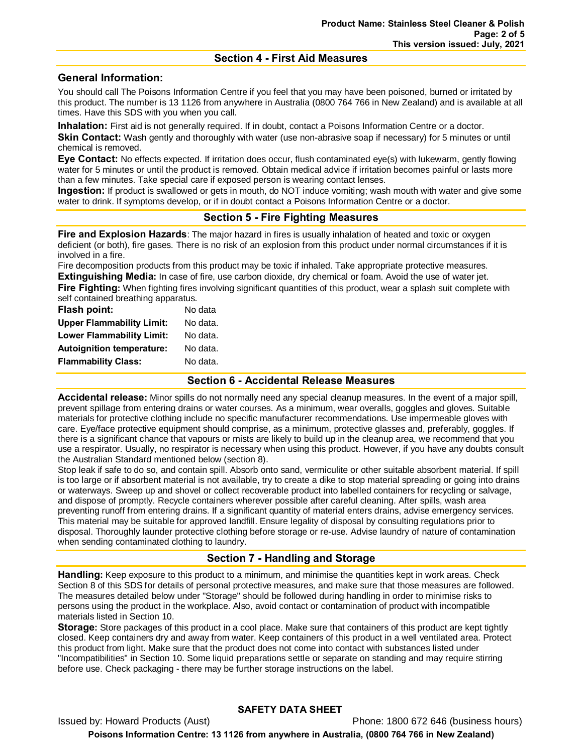## **Section 4 - First Aid Measures**

## **General Information:**

You should call The Poisons Information Centre if you feel that you may have been poisoned, burned or irritated by this product. The number is 13 1126 from anywhere in Australia (0800 764 766 in New Zealand) and is available at all times. Have this SDS with you when you call.

**Inhalation:** First aid is not generally required. If in doubt, contact a Poisons Information Centre or a doctor. **Skin Contact:** Wash gently and thoroughly with water (use non-abrasive soap if necessary) for 5 minutes or until chemical is removed.

**Eye Contact:** No effects expected. If irritation does occur, flush contaminated eye(s) with lukewarm, gently flowing water for 5 minutes or until the product is removed. Obtain medical advice if irritation becomes painful or lasts more than a few minutes. Take special care if exposed person is wearing contact lenses.

**Ingestion:** If product is swallowed or gets in mouth, do NOT induce vomiting; wash mouth with water and give some water to drink. If symptoms develop, or if in doubt contact a Poisons Information Centre or a doctor.

## **Section 5 - Fire Fighting Measures**

**Fire and Explosion Hazards**: The major hazard in fires is usually inhalation of heated and toxic or oxygen deficient (or both), fire gases. There is no risk of an explosion from this product under normal circumstances if it is involved in a fire.

Fire decomposition products from this product may be toxic if inhaled. Take appropriate protective measures. **Extinguishing Media:** In case of fire, use carbon dioxide, dry chemical or foam. Avoid the use of water jet. **Fire Fighting:** When fighting fires involving significant quantities of this product, wear a splash suit complete with self contained breathing apparatus.

| Flash point:                     | No data  |
|----------------------------------|----------|
| <b>Upper Flammability Limit:</b> | No data. |
| <b>Lower Flammability Limit:</b> | No data. |
| <b>Autoignition temperature:</b> | No data. |
| <b>Flammability Class:</b>       | No data. |
|                                  |          |

### **Section 6 - Accidental Release Measures**

**Accidental release:** Minor spills do not normally need any special cleanup measures. In the event of a major spill, prevent spillage from entering drains or water courses. As a minimum, wear overalls, goggles and gloves. Suitable materials for protective clothing include no specific manufacturer recommendations. Use impermeable gloves with care. Eye/face protective equipment should comprise, as a minimum, protective glasses and, preferably, goggles. If there is a significant chance that vapours or mists are likely to build up in the cleanup area, we recommend that you use a respirator. Usually, no respirator is necessary when using this product. However, if you have any doubts consult the Australian Standard mentioned below (section 8).

Stop leak if safe to do so, and contain spill. Absorb onto sand, vermiculite or other suitable absorbent material. If spill is too large or if absorbent material is not available, try to create a dike to stop material spreading or going into drains or waterways. Sweep up and shovel or collect recoverable product into labelled containers for recycling or salvage, and dispose of promptly. Recycle containers wherever possible after careful cleaning. After spills, wash area preventing runoff from entering drains. If a significant quantity of material enters drains, advise emergency services. This material may be suitable for approved landfill. Ensure legality of disposal by consulting regulations prior to disposal. Thoroughly launder protective clothing before storage or re-use. Advise laundry of nature of contamination when sending contaminated clothing to laundry.

## **Section 7 - Handling and Storage**

**Handling:** Keep exposure to this product to a minimum, and minimise the quantities kept in work areas. Check Section 8 of this SDS for details of personal protective measures, and make sure that those measures are followed. The measures detailed below under "Storage" should be followed during handling in order to minimise risks to persons using the product in the workplace. Also, avoid contact or contamination of product with incompatible materials listed in Section 10.

**Storage:** Store packages of this product in a cool place. Make sure that containers of this product are kept tightly closed. Keep containers dry and away from water. Keep containers of this product in a well ventilated area. Protect this product from light. Make sure that the product does not come into contact with substances listed under "Incompatibilities" in Section 10. Some liquid preparations settle or separate on standing and may require stirring before use. Check packaging - there may be further storage instructions on the label.

### **SAFETY DATA SHEET**

Issued by: Howard Products (Aust) **Phone: 1800 672 646 (business hours) Poisons Information Centre: 13 1126 from anywhere in Australia, (0800 764 766 in New Zealand)**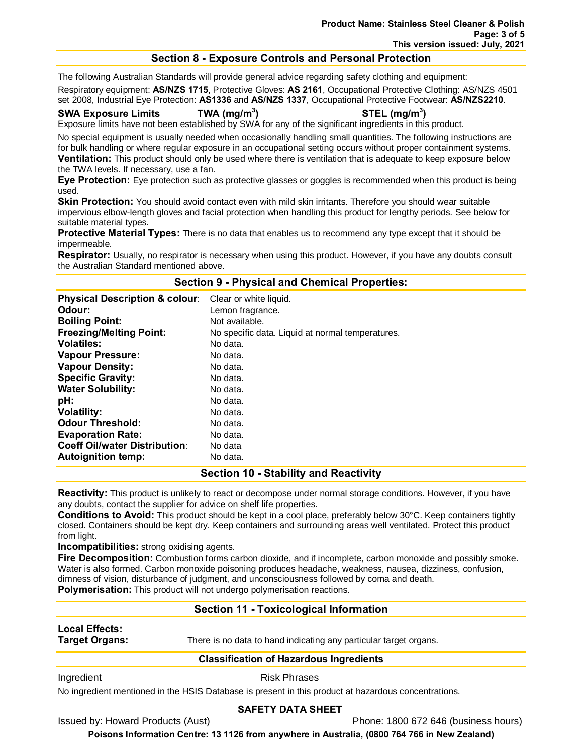## **Section 8 - Exposure Controls and Personal Protection**

The following Australian Standards will provide general advice regarding safety clothing and equipment:

Respiratory equipment: **AS/NZS 1715**, Protective Gloves: **AS 2161**, Occupational Protective Clothing: AS/NZS 4501 set 2008, Industrial Eye Protection: **AS1336** and **AS/NZS 1337**, Occupational Protective Footwear: **AS/NZS2210**.

#### **SWA Exposure Limits TWA (mg/m3**

**) STEL (mg/m3 )**

Exposure limits have not been established by SWA for any of the significant ingredients in this product.

No special equipment is usually needed when occasionally handling small quantities. The following instructions are for bulk handling or where regular exposure in an occupational setting occurs without proper containment systems. **Ventilation:** This product should only be used where there is ventilation that is adequate to keep exposure below the TWA levels. If necessary, use a fan.

**Eye Protection:** Eye protection such as protective glasses or goggles is recommended when this product is being used.

Skin Protection: You should avoid contact even with mild skin irritants. Therefore you should wear suitable impervious elbow-length gloves and facial protection when handling this product for lengthy periods. See below for suitable material types.

**Protective Material Types:** There is no data that enables us to recommend any type except that it should be impermeable.

**Respirator:** Usually, no respirator is necessary when using this product. However, if you have any doubts consult the Australian Standard mentioned above.

## **Section 9 - Physical and Chemical Properties:**

| <b>Physical Description &amp; colour:</b> | Clear or white liquid.                           |
|-------------------------------------------|--------------------------------------------------|
| Odour:                                    | Lemon fragrance.                                 |
| <b>Boiling Point:</b>                     | Not available.                                   |
| <b>Freezing/Melting Point:</b>            | No specific data. Liquid at normal temperatures. |
| <b>Volatiles:</b>                         | No data.                                         |
| <b>Vapour Pressure:</b>                   | No data.                                         |
| <b>Vapour Density:</b>                    | No data.                                         |
| <b>Specific Gravity:</b>                  | No data.                                         |
| <b>Water Solubility:</b>                  | No data.                                         |
| pH:                                       | No data.                                         |
| <b>Volatility:</b>                        | No data.                                         |
| <b>Odour Threshold:</b>                   | No data.                                         |
| <b>Evaporation Rate:</b>                  | No data.                                         |
| <b>Coeff Oil/water Distribution:</b>      | No data                                          |
| <b>Autoignition temp:</b>                 | No data.                                         |

## **Section 10 - Stability and Reactivity**

**Reactivity:** This product is unlikely to react or decompose under normal storage conditions. However, if you have any doubts, contact the supplier for advice on shelf life properties.

**Conditions to Avoid:** This product should be kept in a cool place, preferably below 30°C. Keep containers tightly closed. Containers should be kept dry. Keep containers and surrounding areas well ventilated. Protect this product from light.

**Incompatibilities:** strong oxidising agents.

**Fire Decomposition:** Combustion forms carbon dioxide, and if incomplete, carbon monoxide and possibly smoke. Water is also formed. Carbon monoxide poisoning produces headache, weakness, nausea, dizziness, confusion, dimness of vision, disturbance of judgment, and unconsciousness followed by coma and death. **Polymerisation:** This product will not undergo polymerisation reactions.

## **Section 11 - Toxicological Information**

# **Local Effects:**

**Target Organs:** There is no data to hand indicating any particular target organs.

### **Classification of Hazardous Ingredients**

Ingredient **Risk Phrases** 

No ingredient mentioned in the HSIS Database is present in this product at hazardous concentrations.

### **SAFETY DATA SHEET**

Issued by: Howard Products (Aust) Phone: 1800 672 646 (business hours)

**Poisons Information Centre: 13 1126 from anywhere in Australia, (0800 764 766 in New Zealand)**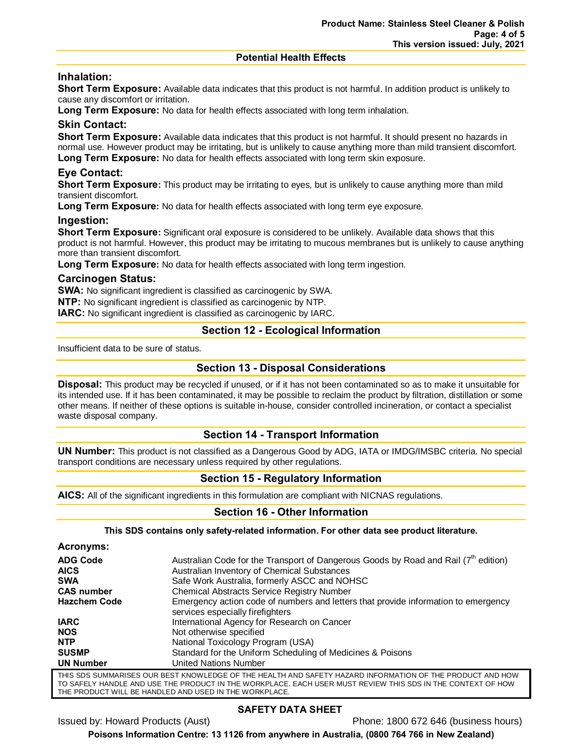#### **Potential Health Effects**

# **Inhalation:**

**Short Term Exposure:** Available data indicates that this product is not harmful. In addition product is unlikely to cause any discomfort or irritation.

**Long Term Exposure:** No data for health effects associated with long term inhalation.

## **Skin Contact:**

**Short Term Exposure:** Available data indicates that this product is not harmful. It should present no hazards in normal use. However product may be irritating, but is unlikely to cause anything more than mild transient discomfort.

**Long Term Exposure:** No data for health effects associated with long term skin exposure.

# **Eye Contact:**

**Short Term Exposure:** This product may be irritating to eyes, but is unlikely to cause anything more than mild transient discomfort.

**Long Term Exposure:** No data for health effects associated with long term eye exposure.

## **Ingestion:**

**Short Term Exposure:** Significant oral exposure is considered to be unlikely. Available data shows that this product is not harmful. However, this product may be irritating to mucous membranes but is unlikely to cause anything more than transient discomfort.

**Long Term Exposure:** No data for health effects associated with long term ingestion.

## **Carcinogen Status:**

**SWA:** No significant ingredient is classified as carcinogenic by SWA.

**NTP:** No significant ingredient is classified as carcinogenic by NTP.

**IARC:** No significant ingredient is classified as carcinogenic by IARC.

## **Section 12 - Ecological Information**

Insufficient data to be sure of status.

## **Section 13 - Disposal Considerations**

**Disposal:** This product may be recycled if unused, or if it has not been contaminated so as to make it unsuitable for its intended use. If it has been contaminated, it may be possible to reclaim the product by filtration, distillation or some other means. If neither of these options is suitable in-house, consider controlled incineration, or contact a specialist waste disposal company.

## **Section 14 - Transport Information**

**UN Number:** This product is not classified as a Dangerous Good by ADG, IATA or IMDG/IMSBC criteria. No special transport conditions are necessary unless required by other regulations.

# **Section 15 - Regulatory Information**

**AICS:** All of the significant ingredients in this formulation are compliant with NICNAS regulations.

## **Section 16 - Other Information**

**This SDS contains only safety-related information. For other data see product literature.**

| Acronyms:                                                                                                     |                                                                                                                        |
|---------------------------------------------------------------------------------------------------------------|------------------------------------------------------------------------------------------------------------------------|
| <b>ADG Code</b>                                                                                               | Australian Code for the Transport of Dangerous Goods by Road and Rail $(7th$ edition)                                  |
| <b>AICS</b>                                                                                                   | Australian Inventory of Chemical Substances                                                                            |
| <b>SWA</b>                                                                                                    | Safe Work Australia, formerly ASCC and NOHSC                                                                           |
| <b>CAS number</b>                                                                                             | <b>Chemical Abstracts Service Registry Number</b>                                                                      |
| <b>Hazchem Code</b>                                                                                           | Emergency action code of numbers and letters that provide information to emergency<br>services especially firefighters |
| <b>IARC</b>                                                                                                   | International Agency for Research on Cancer                                                                            |
| <b>NOS</b>                                                                                                    | Not otherwise specified                                                                                                |
| <b>NTP</b>                                                                                                    | National Toxicology Program (USA)                                                                                      |
| <b>SUSMP</b>                                                                                                  | Standard for the Uniform Scheduling of Medicines & Poisons                                                             |
| <b>UN Number</b>                                                                                              | United Nations Number                                                                                                  |
| THE CDO CHIMMA DICEO QUID DECT I/NQWLEDOE OF THE HEALTH AND CAFETY HAZADD INFODMATION OF THE DDODHOT AND HOM. |                                                                                                                        |

THIS SDS SUMMARISES OUR BEST KNOWLEDGE OF THE HEALTH AND SAFETY HAZARD INFORMATION OF THE PRODUCT AND HOW TO SAFELY HANDLE AND USE THE PRODUCT IN THE WORKPLACE. EACH USER MUST REVIEW THIS SDS IN THE CONTEXT OF HOW THE PRODUCT WILL BE HANDLED AND USED IN THE WORKPLACE.

## **SAFETY DATA SHEET**

Issued by: Howard Products (Aust) Phone: 1800 672 646 (business hours)

**Poisons Information Centre: 13 1126 from anywhere in Australia, (0800 764 766 in New Zealand)**